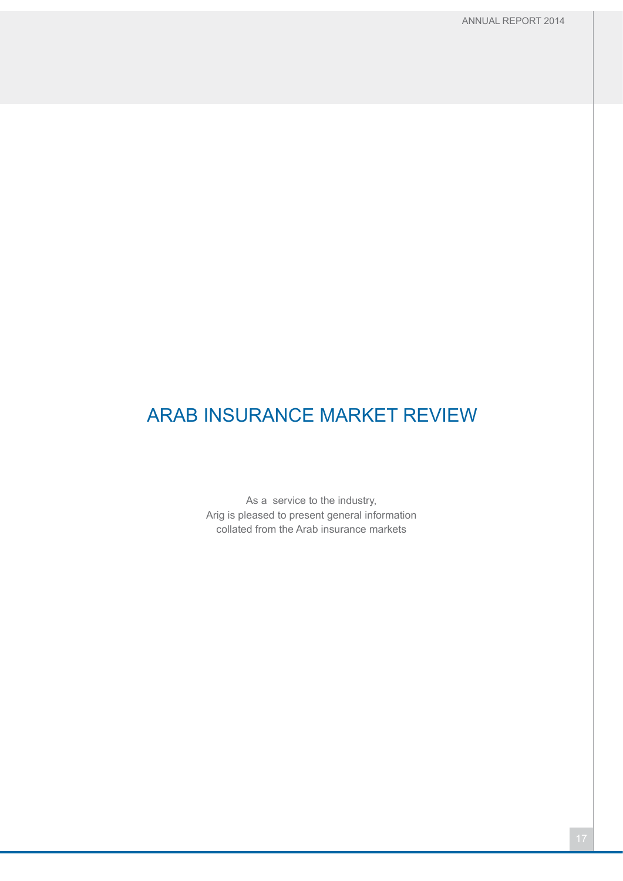As a service to the industry, Arig is pleased to present general information collated from the Arab insurance markets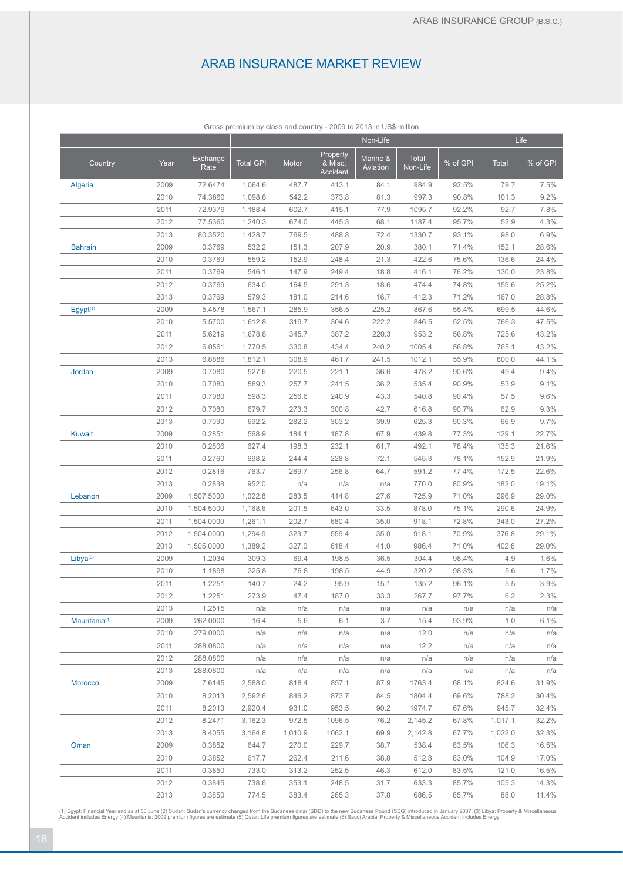|                           |      |                  |                  |         |                                 | Non-Life             |                   |          |              | Life     |
|---------------------------|------|------------------|------------------|---------|---------------------------------|----------------------|-------------------|----------|--------------|----------|
| Country                   | Year | Exchange<br>Rate | <b>Total GPI</b> | Motor   | Property<br>& Misc.<br>Accident | Marine &<br>Aviation | Total<br>Non-Life | % of GPI | <b>Total</b> | % of GPI |
| Algeria                   | 2009 | 72.6474          | 1,064.6          | 487.7   | 413.1                           | 84.1                 | 984.9             | 92.5%    | 79.7         | 7.5%     |
|                           | 2010 | 74.3860          | 1,098.6          | 542.2   | 373.8                           | 81.3                 | 997.3             | 90.8%    | 101.3        | 9.2%     |
|                           | 2011 | 72.9379          | 1,188.4          | 602.7   | 415.1                           | 77.9                 | 1095.7            | 92.2%    | 92.7         | 7.8%     |
|                           | 2012 | 77.5360          | 1,240.3          | 674.0   | 445.3                           | 68.1                 | 1187.4            | 95.7%    | 52.9         | 4.3%     |
|                           | 2013 | 80.3520          | 1,428.7          | 769.5   | 488.8                           | 72.4                 | 1330.7            | 93.1%    | 98.0         | 6.9%     |
| <b>Bahrain</b>            | 2009 | 0.3769           | 532.2            | 151.3   | 207.9                           | 20.9                 | 380.1             | 71.4%    | 152.1        | 28.6%    |
|                           | 2010 | 0.3769           | 559.2            | 152.9   | 248.4                           | 21.3                 | 422.6             | 75.6%    | 136.6        | 24.4%    |
|                           | 2011 | 0.3769           | 546.1            | 147.9   | 249.4                           | 18.8                 | 416.1             | 76.2%    | 130.0        | 23.8%    |
|                           | 2012 | 0.3769           | 634.0            | 164.5   | 291.3                           | 18.6                 | 474.4             | 74.8%    | 159.6        | 25.2%    |
|                           | 2013 | 0.3769           | 579.3            | 181.0   | 214.6                           | 16.7                 | 412.3             | 71.2%    | 167.0        | 28.8%    |
| Egypt <sup>(1)</sup>      | 2009 | 5.4578           | 1,567.1          | 285.9   | 356.5                           | 225.2                | 867.6             | 55.4%    | 699.5        | 44.6%    |
|                           | 2010 | 5.5700           | 1,612.8          | 319.7   | 304.6                           | 222.2                | 846.5             | 52.5%    | 766.3        | 47.5%    |
|                           | 2011 | 5.6219           | 1,678.8          | 345.7   | 387.2                           | 220.3                | 953.2             | 56.8%    | 725.6        | 43.2%    |
|                           | 2012 | 6.0561           | 1,770.5          | 330.8   | 434.4                           | 240.2                | 1005.4            | 56.8%    | 765.1        | 43.2%    |
|                           | 2013 | 6.8886           | 1,812.1          | 308.9   | 461.7                           | 241.5                | 1012.1            | 55.9%    | 800.0        | 44.1%    |
| Jordan                    | 2009 | 0.7080           | 527.6            | 220.5   | 221.1                           | 36.6                 | 478.2             | 90.6%    | 49.4         | 9.4%     |
|                           | 2010 | 0.7080           | 589.3            | 257.7   | 241.5                           | 36.2                 | 535.4             | 90.9%    | 53.9         | 9.1%     |
|                           | 2011 | 0.7080           | 598.3            | 256.6   | 240.9                           | 43.3                 | 540.8             | 90.4%    | 57.5         | 9.6%     |
|                           | 2012 | 0.7080           | 679.7            | 273.3   | 300.8                           | 42.7                 | 616.8             | 90.7%    | 62.9         | 9.3%     |
|                           | 2013 | 0.7090           | 692.2            | 282.2   | 303.2                           | 39.9                 | 625.3             | 90.3%    | 66.9         | 9.7%     |
| <b>Kuwait</b>             | 2009 | 0.2851           | 568.9            | 184.1   | 187.8                           | 67.9                 | 439.8             | 77.3%    | 129.1        | 22.7%    |
|                           | 2010 | 0.2806           | 627.4            | 198.3   | 232.1                           | 61.7                 | 492.1             | 78.4%    | 135.3        | 21.6%    |
|                           | 2011 | 0.2760           | 698.2            | 244.4   | 228.8                           | 72.1                 | 545.3             | 78.1%    | 152.9        | 21.9%    |
|                           | 2012 | 0.2816           | 763.7            | 269.7   | 256.8                           | 64.7                 | 591.2             | 77.4%    | 172.5        | 22.6%    |
|                           | 2013 | 0.2838           | 952.0            | n/a     | n/a                             | n/a                  | 770.0             | 80.9%    | 182.0        | 19.1%    |
| Lebanon                   | 2009 | 1,507.5000       | 1,022.8          | 283.5   | 414.8                           | 27.6                 | 725.9             | 71.0%    | 296.9        | 29.0%    |
|                           | 2010 | 1,504.5000       | 1,168.6          | 201.5   | 643.0                           | 33.5                 | 878.0             | 75.1%    | 290.6        | 24.9%    |
|                           | 2011 | 1,504.0000       | 1,261.1          | 202.7   | 680.4                           | 35.0                 | 918.1             | 72.8%    | 343.0        | 27.2%    |
|                           | 2012 | 1,504.0000       | 1,294.9          | 323.7   | 559.4                           | 35.0                 | 918.1             | 70.9%    | 376.8        | 29.1%    |
|                           | 2013 | 1,505.0000       | 1,389.2          | 327.0   | 618.4                           | 41.0                 | 986.4             | 71.0%    | 402.8        | 29.0%    |
| Libya <sup>(3)</sup>      | 2009 | 1.2034           | 309.3            | 69.4    | 198.5                           | 36.5                 | 304.4             | 98.4%    | 4.9          | 1.6%     |
|                           | 2010 | 1.1898           | 325.8            | 76.8    | 198.5                           | 44.9                 | 320.2             | 98.3%    | 5.6          | 1.7%     |
|                           | 2011 | 1.2251           | 140.7            | 24.2    | 95.9                            | 15.1                 | 135.2             | 96.1%    | 5.5          | 3.9%     |
|                           | 2012 | 1.2251           | 273.9            | 47.4    | 187.0                           | 33.3                 | 267.7             | 97.7%    | 6.2          | 2.3%     |
|                           | 2013 | 1.2515           | n/a              | n/a     | n/a                             | n/a                  | n/a               | n/a      | n/a          | n/a      |
| Mauritania <sup>(4)</sup> | 2009 | 262.0000         | 16.4             | 5.6     | 6.1                             | 3.7                  | 15.4              | 93.9%    | 1.0          | 6.1%     |
|                           | 2010 | 279.0000         | n/a              | n/a     | n/a                             | n/a                  | 12.0              | n/a      | n/a          | n/a      |
|                           | 2011 | 288.0800         | n/a              | n/a     | n/a                             | n/a                  | 12.2              | n/a      | n/a          | n/a      |
|                           | 2012 | 288.0800         | n/a              | n/a     | n/a                             | n/a                  | n/a               | n/a      | n/a          | n/a      |
|                           | 2013 | 288.0800         | n/a              | n/a     | n/a                             | n/a                  | n/a               | n/a      | n/a          | n/a      |
| <b>Morocco</b>            | 2009 | 7.6145           | 2,588.0          | 818.4   | 857.1                           | 87.9                 | 1763.4            | 68.1%    | 824.6        | 31.9%    |
|                           | 2010 | 8.2013           | 2,592.6          | 846.2   | 873.7                           | 84.5                 | 1804.4            | 69.6%    | 788.2        | 30.4%    |
|                           | 2011 | 8.2013           | 2,920.4          | 931.0   | 953.5                           | 90.2                 | 1974.7            | 67.6%    | 945.7        | 32.4%    |
|                           | 2012 | 8.2471           | 3,162.3          | 972.5   | 1096.5                          | 76.2                 | 2,145.2           | 67.8%    | 1,017.1      | 32.2%    |
|                           | 2013 | 8.4055           | 3,164.8          | 1,010.9 | 1062.1                          | 69.9                 | 2,142.8           | 67.7%    | 1,022.0      | 32.3%    |
| Oman                      | 2009 | 0.3852           | 644.7            | 270.0   | 229.7                           | 38.7                 | 538.4             | 83.5%    | 106.3        | 16.5%    |
|                           | 2010 | 0.3852           | 617.7            | 262.4   | 211.6                           | 38.8                 | 512.8             | 83.0%    | 104.9        | 17.0%    |
|                           | 2011 | 0.3850           | 733.0            | 313.2   | 252.5                           | 46.3                 | 612.0             | 83.5%    | 121.0        | 16.5%    |
|                           | 2012 | 0.3845           | 738.6            | 353.1   | 248.5                           | 31.7                 | 633.3             | 85.7%    | 105.3        | 14.3%    |
|                           | 2013 | 0.3850           | 774.5            | 383.4   | 265.3                           | 37.8                 | 686.5             | 85.7%    | 88.0         | 11.4%    |

Gross premium by class and country - 2009 to 2013 in US\$ million

(1) Egypt: Financial Year end as at 30 June (2) Sudan: Sudan's currency changed from the Sudanese dinar (SDD) to the new Sudanese Pound (SDG) introduced in January 2007. (3) Libya: Property & Miscellaneous<br>Accident include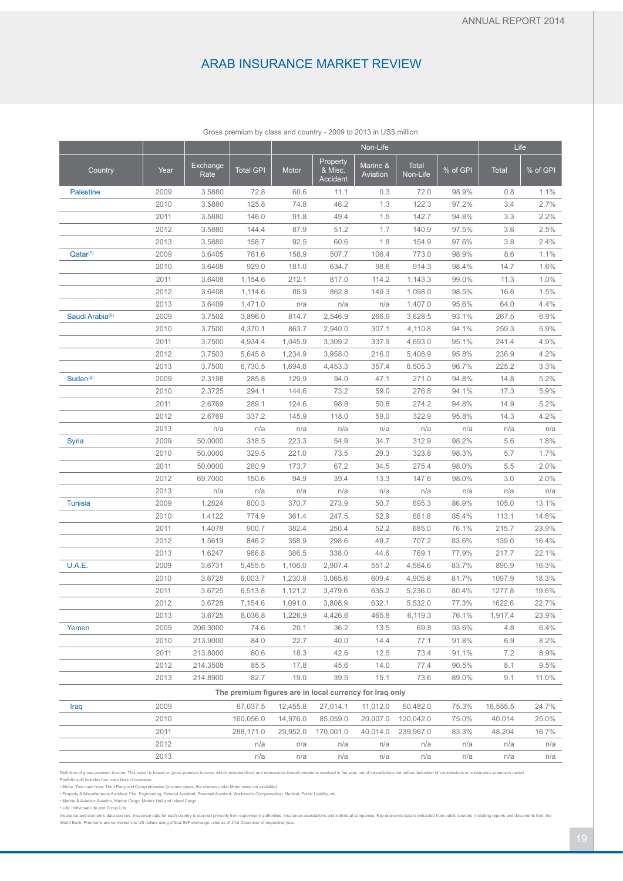|                                                         |              |                  |                    | Non-Life           |                                 |                      |                    | Life           |                |              |  |
|---------------------------------------------------------|--------------|------------------|--------------------|--------------------|---------------------------------|----------------------|--------------------|----------------|----------------|--------------|--|
| Country                                                 | Year         | Exchange<br>Rate | <b>Total GPI</b>   | Motor              | Property<br>& Misc.<br>Accident | Marine &<br>Aviation | Total<br>Non-Life  | % of GPI       | <b>Total</b>   | % of GPI     |  |
| <b>Palestine</b>                                        | 2009         | 3.5880           | 72.8               | 60.6               | 11.1                            | 0.3                  | 72.0               | 98.9%          | 0.8            | 1.1%         |  |
|                                                         | 2010         | 3.5880           | 125.8              | 74.8               | 46.2                            | 1.3                  | 122.3              | 97.2%          | 3.4            | 2.7%         |  |
|                                                         | 2011         | 3.5880           | 146.0              | 91.8               | 49.4                            | 1.5                  | 142.7              | 94.8%          | 3.3            | 2.2%         |  |
|                                                         | 2012         | 3.5880           | 144.4              | 87.9               | 51.2                            | 1.7                  | 140.9              | 97.5%          | 3.6            | 2.5%         |  |
|                                                         | 2013         | 3.5880           | 158.7              | 92.5               | 60.6                            | 1.8                  | 154.9              | 97.6%          | 3.8            | 2.4%         |  |
| Qatar <sup>(5)</sup>                                    | 2009         | 3.6405           | 781.6              | 158.9              | 507.7                           | 106.4                | 773.0              | 98.9%          | 8.6            | 1.1%         |  |
|                                                         | 2010         | 3.6408           | 929.0              | 181.0              | 634.7                           | 98.6                 | 914.3              | 98.4%          | 14.7           | 1.6%         |  |
|                                                         | 2011         | 3.6408           | 1,154.6            | 212.1              | 817.0                           | 114.2                | 1,143.3            | 99.0%          | 11.3           | 1.0%         |  |
|                                                         | 2012         | 3.6408           | 1,114.6            | 85.9               | 862.8                           | 149.3                | 1,098.0            | 98.5%          | 16.6           | 1.5%         |  |
|                                                         | 2013         | 3.6409           | 1,471.0            | n/a                | n/a                             | n/a                  | 1,407.0            | 95.6%          | 64.0           | 4.4%         |  |
| Saudi Arabia <sup>(6)</sup>                             | 2009         | 3.7502           | 3,896.0            | 814.7              | 2,546.9                         | 266.9                | 3,628.5            | 93.1%          | 267.5          | 6.9%         |  |
|                                                         | 2010         | 3.7500           | 4,370.1            | 863.7              | 2,940.0                         | 307.1                | 4,110.8            | 94.1%          | 259.3          | 5.9%         |  |
|                                                         | 2011<br>2012 | 3.7500<br>3.7503 | 4,934.4<br>5,645.8 | 1,045.9<br>1,234.9 | 3,309.2<br>3,958.0              | 337.9<br>216.0       | 4,693.0<br>5,408.9 | 95.1%<br>95.8% | 241.4<br>236.9 | 4.9%<br>4.2% |  |
|                                                         | 2013         | 3.7500           | 6,730.5            | 1,694.6            | 4,453.3                         | 357.4                | 6,505.3            | 96.7%          | 225.2          | 3.3%         |  |
| Sudan <sup>(2)</sup>                                    | 2009         | 2.3198           | 285.8              | 129.9              | 94.0                            | 47.1                 | 271.0              | 94.8%          | 14.8           | 5.2%         |  |
|                                                         | 2010         | 2.3725           | 294.1              | 144.6              | 73.2                            | 59.0                 | 276.8              | 94.1%          | 17.3           | 5.9%         |  |
|                                                         | 2011         | 2.6769           | 289.1              | 124.6              | 98.8                            | 50.8                 | 274.2              | 94.8%          | 14.9           | 5.2%         |  |
|                                                         | 2012         | 2.6769           | 337.2              | 145.9              | 118.0                           | 59.0                 | 322.9              | 95.8%          | 14.3           | 4.2%         |  |
|                                                         | 2013         | n/a              | n/a                | n/a                | n/a                             | n/a                  | n/a                | n/a            | n/a            | n/a          |  |
| Syria                                                   | 2009         | 50.0000          | 318.5              | 223.3              | 54.9                            | 34.7                 | 312.9              | 98.2%          | 5.6            | 1.8%         |  |
|                                                         | 2010         | 50.0000          | 329.5              | 221.0              | 73.5                            | 29.3                 | 323.8              | 98.3%          | 5.7            | 1.7%         |  |
|                                                         | 2011         | 50.0000          | 280.9              | 173.7              | 67.2                            | 34.5                 | 275.4              | 98.0%          | 5.5            | 2.0%         |  |
|                                                         | 2012         | 69.7000          | 150.6              | 94.9               | 39.4                            | 13.3                 | 147.6              | 98.0%          | 3.0            | 2.0%         |  |
|                                                         | 2013         | n/a              | n/a                | n/a                | n/a                             | n/a                  | n/a                | n/a            | n/a            | n/a          |  |
| <b>Tunisia</b>                                          | 2009         | 1.2824           | 800.3              | 370.7              | 273.9                           | 50.7                 | 695.3              | 86.9%          | 105.0          | 13.1%        |  |
|                                                         | 2010         | 1.4122           | 774.9              | 361.4              | 247.5                           | 52.9                 | 661.8              | 85.4%          | 113.1          | 14.6%        |  |
|                                                         | 2011         | 1.4078           | 900.7              | 382.4              | 250.4                           | 52.2                 | 685.0              | 76.1%          | 215.7          | 23.9%        |  |
|                                                         | 2012         | 1.5619           | 846.2              | 358.9              | 298.6                           | 49.7                 | 707.2              | 83.6%          | 139.0          | 16.4%        |  |
|                                                         | 2013         | 1.6247           | 986.8              | 386.5              | 338.0                           | 44.6                 | 769.1              | 77.9%          | 217.7          | 22.1%        |  |
| U.A.E.                                                  | 2009         | 3.6731           | 5,455.5            | 1,106.0            | 2,907.4                         | 551.2                | 4,564.6            | 83.7%          | 890.9          | 16.3%        |  |
|                                                         | 2010         | 3.6728           | 6,003.7            | 1,230.8            | 3,065.6                         | 609.4                | 4,905.8            | 81.7%          | 1097.9         | 18.3%        |  |
|                                                         | 2011         | 3.6725           | 6,513.8            | 1,121.2            | 3,479.6                         | 635.2                | 5,236.0            | 80.4%          | 1277.8         | 19.6%        |  |
|                                                         | 2012         | 3.6728           | 7,154.6            | 1,091.0            | 3,808.9                         | 632.1                | 5,532.0            | 77.3%          | 1622.6         | 22.7%        |  |
|                                                         | 2013         | 3.6725           | 8,036.8            | 1,226.9            | 4,426.6                         | 465.8                | 6,119.3            | 76.1%          | 1,917.4        | 23.9%        |  |
| Yemen                                                   | 2009         | 206.3000         | 74.6               | 20.1               | 36.2                            | 13.5                 | 69.8               | 93.6%          | 4.8            | 6.4%         |  |
|                                                         | 2010         | 213.9000         | 84.0               | 22.7               | 40.0                            | 14.4                 | 77.1               | 91.8%          | 6.9            | 8.2%         |  |
|                                                         | 2011         | 213.8000         | 80.6               | 18.3               | 42.6                            | 12.5                 | 73.4               | 91.1%          | 7.2            | 8.9%         |  |
|                                                         | 2012         | 214.3508         | 85.5               | 17.8               | 45.6                            | 14.0                 | 77.4               | 90.5%          | 8.1            | 9.5%         |  |
|                                                         | 2013         | 214.8900         | 82.7               | 19.0               | 39.5                            | 15.1                 | 73.6               | 89.0%          | 9.1            | 11.0%        |  |
| The premium figures are in local currency for Iraq only |              |                  |                    |                    |                                 |                      |                    |                |                |              |  |
| Iraq                                                    | 2009         |                  | 67,037.5           | 12,455.8           | 27,014.1                        | 11,012.0             | 50,482.0           | 75.3%          | 16,555.5       | 24.7%        |  |
|                                                         | 2010         |                  | 160,056.0          | 14,976.0           | 85,059.0                        | 20,007.0             | 120,042.0          | 75.0%          | 40,014         | 25.0%        |  |
|                                                         | 2011         |                  | 288.171.0          |                    | 29.952.0 170.001.0              |                      | 40.014.0 239.967.0 | 83.3%          | 48,204         | 16.7%        |  |

Gross premium by class and country - 2009 to 2013 in US\$ million

#### Definition of gross premium income: This report is based on gross premium income, which includes direct and reinsurance inward premiums received in the year, net of cancellations but before deduction of commissions or rein

Portfolio split includes four main lines of business:<br>• Motor: Two main lines: Third Party and Comprehensive (in some cases, the classes under Motor were not available).<br>• Property & Miscellaneous Accident: Fire, Engineeri

• Marine & Aviation: Aviation, Marine Cargo, Marine Hull and Inland Cargo. • Life: Individual Life and Group Life.

Insurance and economic data sources: Insurance data for each country is sourced primarily from supervisory authorities, insurance associations and individual companies. Key economic data is extracted from public sources, i

2012 n/a n/a n/a n/a n/a n/a n/a n/a 2013 n/a n/a n/a n/a n/a n/a n/a n/a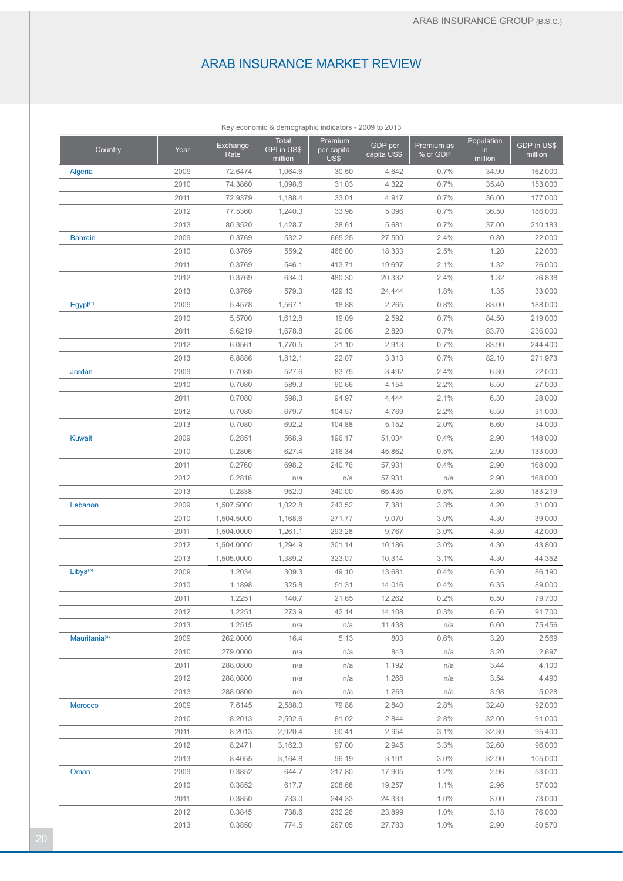|                           |      |                  | Rey economic & demographic indicators - 2009 to 2013 |                               |                        |                        |                             |                        |
|---------------------------|------|------------------|------------------------------------------------------|-------------------------------|------------------------|------------------------|-----------------------------|------------------------|
| Country                   | Year | Exchange<br>Rate | <b>Total</b><br>GPI in US\$<br>million               | Premium<br>per capita<br>US\$ | GDP per<br>capita US\$ | Premium as<br>% of GDP | Population<br>in<br>million | GDP in US\$<br>million |
| Algeria                   | 2009 | 72.6474          | 1,064.6                                              | 30.50                         | 4,642                  | 0.7%                   | 34.90                       | 162,000                |
|                           | 2010 | 74.3860          | 1,098.6                                              | 31.03                         | 4,322                  | 0.7%                   | 35.40                       | 153,000                |
|                           | 2011 | 72.9379          | 1,188.4                                              | 33.01                         | 4,917                  | 0.7%                   | 36.00                       | 177,000                |
|                           | 2012 | 77.5360          | 1,240.3                                              | 33.98                         | 5,096                  | 0.7%                   | 36.50                       | 186,000                |
|                           | 2013 | 80.3520          | 1,428.7                                              | 38.61                         | 5,681                  | 0.7%                   | 37.00                       | 210,183                |
| <b>Bahrain</b>            | 2009 | 0.3769           | 532.2                                                | 665.25                        | 27,500                 | 2.4%                   | 0.80                        | 22,000                 |
|                           | 2010 | 0.3769           | 559.2                                                | 466.00                        | 18,333                 | 2.5%                   | 1.20                        | 22,000                 |
|                           | 2011 | 0.3769           | 546.1                                                | 413.71                        | 19,697                 | 2.1%                   | 1.32                        | 26,000                 |
|                           | 2012 | 0.3769           | 634.0                                                | 480.30                        | 20,332                 | 2.4%                   | 1.32                        | 26,838                 |
|                           | 2013 | 0.3769           | 579.3                                                | 429.13                        | 24,444                 | 1.8%                   | 1.35                        | 33,000                 |
| Egypt <sup>(1)</sup>      | 2009 | 5.4578           | 1,567.1                                              | 18.88                         | 2,265                  | 0.8%                   | 83.00                       | 188,000                |
|                           | 2010 | 5.5700           | 1,612.8                                              | 19.09                         | 2,592                  | 0.7%                   | 84.50                       | 219,000                |
|                           | 2011 | 5.6219           | 1,678.8                                              | 20.06                         | 2,820                  | 0.7%                   | 83.70                       | 236,000                |
|                           | 2012 | 6.0561           | 1,770.5                                              | 21.10                         | 2,913                  | 0.7%                   | 83.90                       | 244,400                |
|                           | 2013 | 6.8886           | 1,812.1                                              | 22.07                         | 3,313                  | 0.7%                   | 82.10                       | 271,973                |
| Jordan                    | 2009 | 0.7080           | 527.6                                                | 83.75                         | 3,492                  | 2.4%                   | 6.30                        | 22,000                 |
|                           | 2010 | 0.7080           | 589.3                                                | 90.66                         | 4,154                  | 2.2%                   | 6.50                        | 27,000                 |
|                           | 2011 | 0.7080           | 598.3                                                | 94.97                         | 4,444                  | 2.1%                   | 6.30                        | 28,000                 |
|                           | 2012 | 0.7080           | 679.7                                                | 104.57                        | 4,769                  | 2.2%                   | 6.50                        | 31,000                 |
|                           | 2013 | 0.7080           | 692.2                                                | 104.88                        | 5,152                  | 2.0%                   | 6.60                        | 34,000                 |
| <b>Kuwait</b>             | 2009 | 0.2851           | 568.9                                                | 196.17                        | 51,034                 | 0.4%                   | 2.90                        | 148,000                |
|                           | 2010 | 0.2806           | 627.4                                                | 216.34                        | 45,862                 | 0.5%                   | 2.90                        | 133,000                |
|                           | 2011 | 0.2760           | 698.2                                                | 240.76                        | 57,931                 | 0.4%                   | 2.90                        | 168,000                |
|                           | 2012 | 0.2816           | n/a                                                  | n/a                           | 57,931                 | n/a                    | 2.90                        | 168,000                |
|                           | 2013 | 0.2838           | 952.0                                                | 340.00                        | 65,435                 | 0.5%                   | 2.80                        | 183,219                |
| Lebanon                   | 2009 | 1,507.5000       | 1,022.8                                              | 243.52                        | 7,381                  | 3.3%                   | 4.20                        | 31,000                 |
|                           | 2010 | 1,504.5000       | 1,168.6                                              | 271.77                        | 9,070                  | 3.0%                   | 4.30                        | 39,000                 |
|                           | 2011 | 1,504.0000       | 1,261.1                                              | 293.28                        | 9,767                  | 3.0%                   | 4.30                        | 42,000                 |
|                           | 2012 | 1,504.0000       | 1,294.9                                              | 301.14                        | 10,186                 | 3.0%                   | 4.30                        | 43,800                 |
|                           | 2013 | 1,505.0000       | 1,389.2                                              | 323.07                        | 10,314                 | 3.1%                   | 4.30                        | 44,352                 |
| Libva <sup>(3)</sup>      | 2009 | 1.2034           | 309.3                                                | 49.10                         | 13,681                 | 0.4%                   | 6.30                        | 86,190                 |
|                           | 2010 | 1.1898           | 325.8                                                | 51.31                         | 14,016                 | 0.4%                   | 6.35                        | 89,000                 |
|                           |      | 1.2251           | 140.7                                                | 21.65                         | 12,262                 | 0.2%                   | 6.50                        |                        |
|                           | 2011 |                  |                                                      |                               |                        |                        |                             | 79,700                 |
|                           | 2012 | 1.2251           | 273.9                                                | 42.14                         | 14,108                 | 0.3%                   | 6.50                        | 91,700                 |
|                           | 2013 | 1.2515           | n/a                                                  | n/a                           | 11,438                 | n/a                    | 6.60                        | 75,456                 |
| Mauritania <sup>(4)</sup> | 2009 | 262.0000         | 16.4                                                 | 5.13                          | 803                    | 0.6%                   | 3.20                        | 2,569                  |
|                           | 2010 | 279.0000         | n/a                                                  | n/a                           | 843                    | n/a                    | 3.20                        | 2,697                  |
|                           | 2011 | 288.0800         | n/a                                                  | n/a                           | 1,192                  | n/a                    | 3.44                        | 4,100                  |
|                           | 2012 | 288.0800         | n/a                                                  | n/a                           | 1,268                  | n/a                    | 3.54                        | 4,490                  |
|                           | 2013 | 288.0800         | n/a                                                  | n/a                           | 1,263                  | n/a                    | 3.98                        | 5,028                  |
| Morocco                   | 2009 | 7.6145           | 2,588.0                                              | 79.88                         | 2,840                  | 2.8%                   | 32.40                       | 92,000                 |
|                           | 2010 | 8.2013           | 2,592.6                                              | 81.02                         | 2,844                  | 2.8%                   | 32.00                       | 91,000                 |
|                           | 2011 | 8.2013           | 2,920.4                                              | 90.41                         | 2,954                  | 3.1%                   | 32.30                       | 95,400                 |
|                           | 2012 | 8.2471           | 3,162.3                                              | 97.00                         | 2,945                  | 3.3%                   | 32.60                       | 96,000                 |
|                           | 2013 | 8.4055           | 3,164.8                                              | 96.19                         | 3,191                  | 3.0%                   | 32.90                       | 105,000                |
| Oman                      | 2009 | 0.3852           | 644.7                                                | 217.80                        | 17,905                 | 1.2%                   | 2.96                        | 53,000                 |
|                           | 2010 | 0.3852           | 617.7                                                | 208.68                        | 19,257                 | 1.1%                   | 2.96                        | 57,000                 |
|                           | 2011 | 0.3850           | 733.0                                                | 244.33                        | 24,333                 | 1.0%                   | 3.00                        | 73,000                 |
|                           | 2012 | 0.3845           | 738.6                                                | 232.26                        | 23,899                 | 1.0%                   | 3.18                        | 76,000                 |
|                           | 2013 | 0.3850           | 774.5                                                | 267.05                        | 27,783                 | 1.0%                   | 2.90                        | 80,570                 |

Key economic & demographic indicators - 2009 to 2013